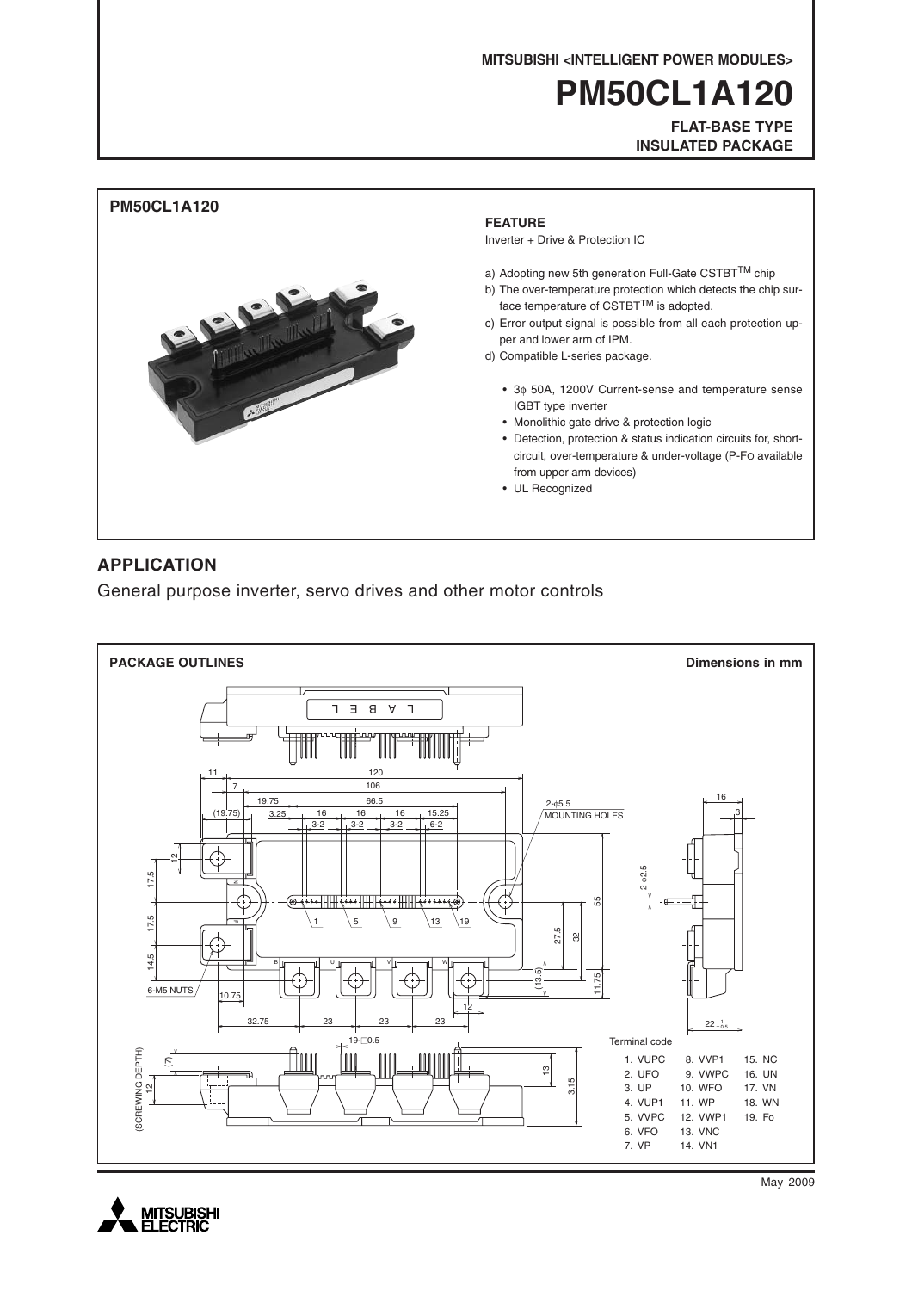**MITSUBISHI <INTELLIGENT POWER MODULES>**

# **PM50CL1A120**

**FLAT-BASE TYPE INSULATED PACKAGE**



### **APPLICATION**

General purpose inverter, servo drives and other motor controls





May 2009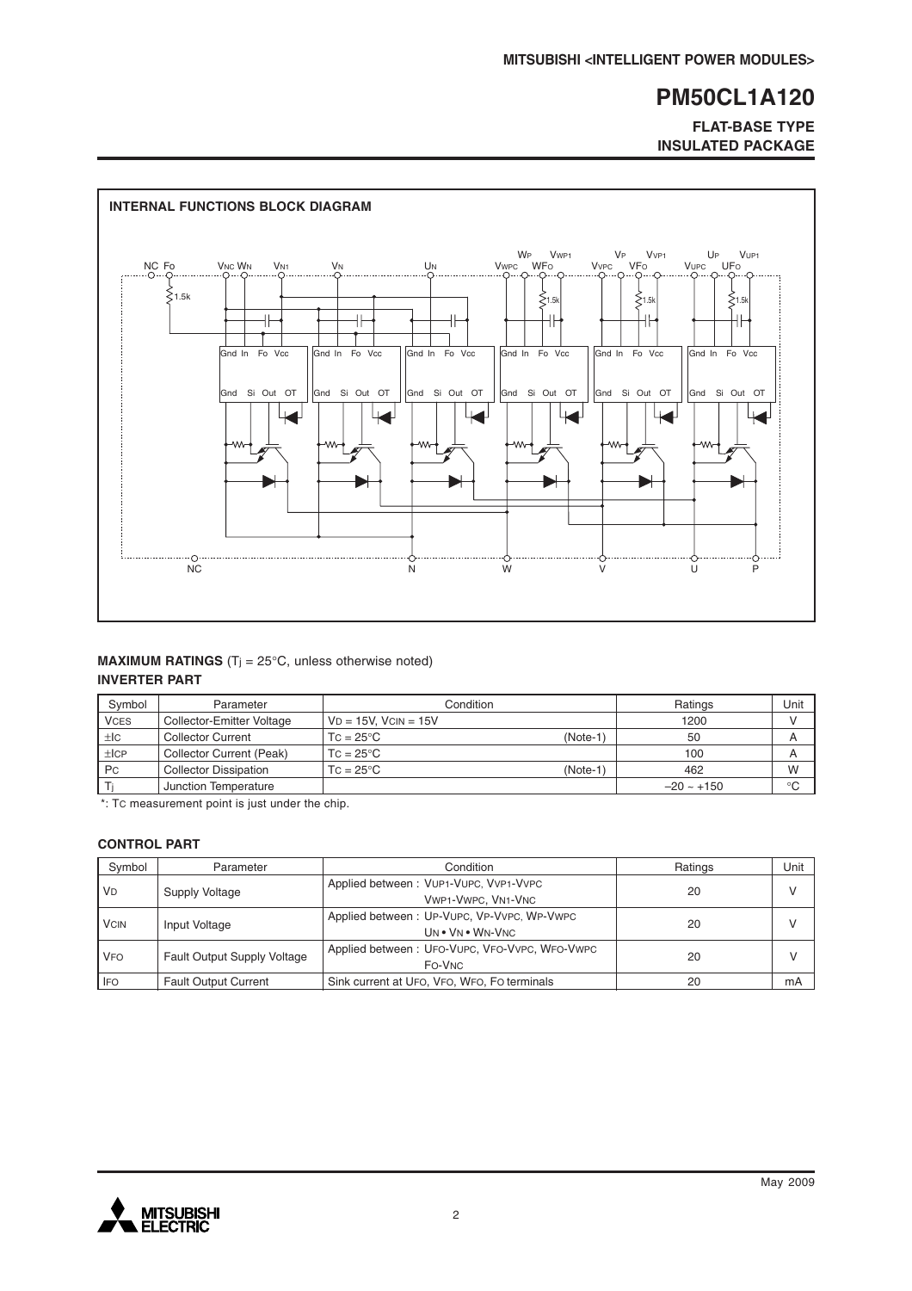**FLAT-BASE TYPE INSULATED PACKAGE**



### **MAXIMUM RATINGS** (T<sub>j</sub> = 25°C, unless otherwise noted) **INVERTER PART**

| Symbol      | Parameter                    | Condition                      | Ratings         | Unit        |
|-------------|------------------------------|--------------------------------|-----------------|-------------|
| <b>VCES</b> | Collector-Emitter Voltage    | $VD = 15V$ . $VCIN = 15V$      | 1200            |             |
| ±IC         | <b>Collector Current</b>     | $TC = 25^{\circ}C$<br>(Note-1) | 50              | A           |
| ±ICP        | Collector Current (Peak)     | $TC = 25^{\circ}C$             | 100             | A           |
| <b>Pc</b>   | <b>Collector Dissipation</b> | (Note-1<br>$TC = 25^{\circ}C$  | 462             | W           |
|             | Junction Temperature         |                                | $-20 \sim +150$ | $^{\circ}C$ |

\*: TC measurement point is just under the chip.

#### **CONTROL PART**

| Symbol      | Parameter                          | Condition                                                      | Ratings | Unit          |
|-------------|------------------------------------|----------------------------------------------------------------|---------|---------------|
| <b>VD</b>   | Supply Voltage                     | Applied between: VUP1-VUPC, VVP1-VVPC<br>VWP1-VWPC, VN1-VNC    | 20      | $\mathcal{U}$ |
| <b>VCIN</b> | Input Voltage                      | Applied between: UP-VUPC, VP-VVPC, WP-VWPC<br>UN . VN . WN-VNC | 20      | $\mathsf{V}$  |
| <b>VFO</b>  | <b>Fault Output Supply Voltage</b> | Applied between: UFO-VUPC, VFO-VVPC, WFO-VWPC<br>FO-VNC        | 20      |               |
| <b>IFO</b>  | <b>Fault Output Current</b>        | Sink current at UFO, VFO, WFO, FO terminals                    | 20      | mA            |

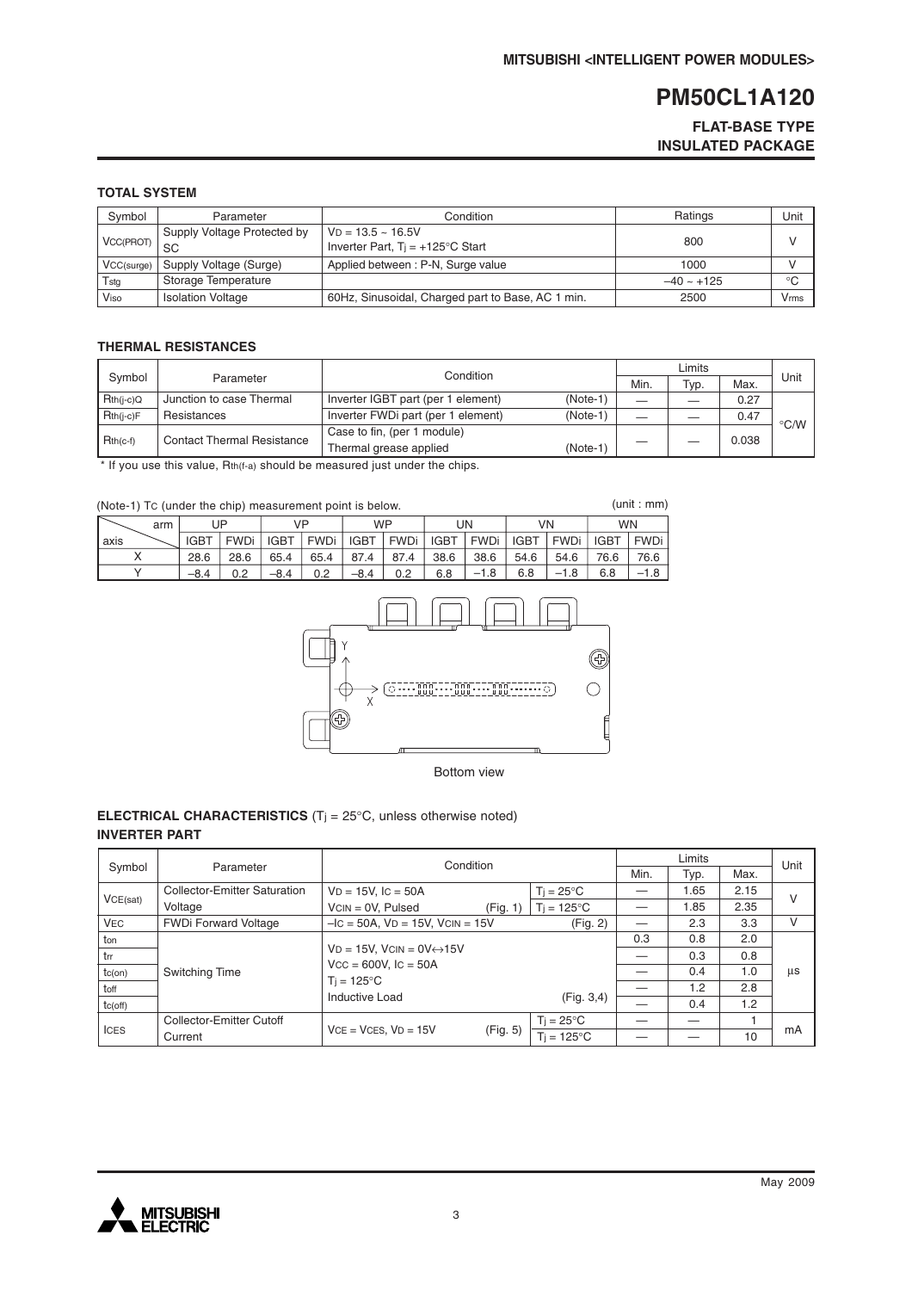### **FLAT-BASE TYPE INSULATED PACKAGE**

#### **TOTAL SYSTEM**

| Symbol     | Parameter                         | Condition                                                        | Ratings         | Unit |
|------------|-----------------------------------|------------------------------------------------------------------|-----------------|------|
| VCC(PROT)  | Supply Voltage Protected by<br>SC | $VD = 13.5 - 16.5V$<br>Inverter Part, $Ti = +125^{\circ}C$ Start | 800             |      |
| VCC(surge) | Supply Voltage (Surge)            | Applied between: P-N, Surge value                                | 1000            |      |
| Tstg       | Storage Temperature               |                                                                  | $-40 \sim +125$ | °C   |
| Viso       | <b>Isolation Voltage</b>          | 60Hz, Sinusoidal, Charged part to Base, AC 1 min.                | 2500            | Vmms |

### **THERMAL RESISTANCES**

|                     |                                   | Condition                          |            |      |      |       |                    |
|---------------------|-----------------------------------|------------------------------------|------------|------|------|-------|--------------------|
| Symbol<br>Parameter |                                   |                                    |            | Min. | Typ. | Max.  | Unit               |
| $Rth(i-c)Q$         | Junction to case Thermal          | Inverter IGBT part (per 1 element) | $(Note-1)$ |      |      | 0.27  |                    |
| $Rth(i-c)F$         | Resistances                       | Inverter FWDi part (per 1 element) | $(Note-1)$ |      |      | 0.47  | $\rm ^{\circ}$ C/W |
| $Rth(c-f)$          | <b>Contact Thermal Resistance</b> | Case to fin, (per 1 module)        |            |      |      |       |                    |
|                     |                                   | Thermal grease applied             | $(Note-1)$ |      |      | 0.038 |                    |

\* If you use this value, Rth(f-a) should be measured just under the chips.

| (Note-1) Tc (under the chip) measurement point is below. |     |             |             |             |             |             |             |             |        | (unit : mm) |             |             |             |
|----------------------------------------------------------|-----|-------------|-------------|-------------|-------------|-------------|-------------|-------------|--------|-------------|-------------|-------------|-------------|
|                                                          | arm |             | UP          | VP          |             | <b>WP</b>   |             |             | UN     | VN          |             | <b>WN</b>   |             |
| axis                                                     |     | <b>IGBT</b> | <b>FWDi</b> | <b>IGBT</b> | <b>FWDi</b> | <b>IGBT</b> | <b>FWDi</b> | <b>IGBT</b> | FWDi   | <b>IGBT</b> | <b>FWDi</b> | <b>IGBT</b> | <b>FWDi</b> |
|                                                          |     | 28.6        | 28.6        | 65.4        | 65.4        | 87.4        | 87.4        | 38.6        | 38.6   | 54.6        | 54.6        | 76.6        | 76.6        |
|                                                          |     | $-8.4$      | 0.2         | $-8.4$      | 0.2         | $-8.4$      | 0.2         | 6.8         | $-1.8$ | 6.8         | $-1.8$      | 6.8         |             |



Bottom view

#### **ELECTRICAL CHARACTERISTICS** (Tj = 25°C, unless otherwise noted) **INVERTER PART**

|              |                                     | Condition                                    |          |                     |     | Unit |      |    |
|--------------|-------------------------------------|----------------------------------------------|----------|---------------------|-----|------|------|----|
| Symbol       | Parameter                           |                                              |          |                     |     | Typ. | Max. |    |
|              | <b>Collector-Emitter Saturation</b> | $VD = 15V$ , $IC = 50A$                      |          | $Ti = 25^{\circ}C$  |     | 1.65 | 2.15 |    |
| VCE(sat)     | Voltage                             | $VCN = OV, Pulsed$                           | (Fig. 1) | $Ti = 125^{\circ}C$ |     | 1.85 | 2.35 | V  |
| <b>VEC</b>   | <b>FWDi Forward Voltage</b>         | $-IC = 50A$ , $VD = 15V$ , $VCIN = 15V$      |          | (Fig. 2)            |     | 2.3  | 3.3  | v  |
| ton          |                                     |                                              |          |                     | 0.3 | 0.8  | 2.0  |    |
| trr          |                                     | $VD = 15V$ , $VCIN = OV \leftrightarrow 15V$ |          |                     |     | 0.3  | 0.8  |    |
| $tc($ on $)$ | Switching Time                      | $Vcc = 600V$ , $lc = 50A$                    |          |                     |     | 0.4  | 1.0  | us |
| toff         |                                     | $T_i = 125^{\circ}C$                         |          |                     |     | 1.2  | 2.8  |    |
| tc(off)      |                                     | Inductive Load                               |          | (Fig. 3, 4)         |     | 0.4  | 1.2  |    |
| <b>ICES</b>  | Collector-Emitter Cutoff            |                                              |          | $T_i = 25^{\circ}C$ |     |      |      |    |
|              | Current                             | $VCE = VCES, VD = 15V$                       | (Fig. 5) | $Ti = 125^{\circ}C$ |     |      | 10   | mA |

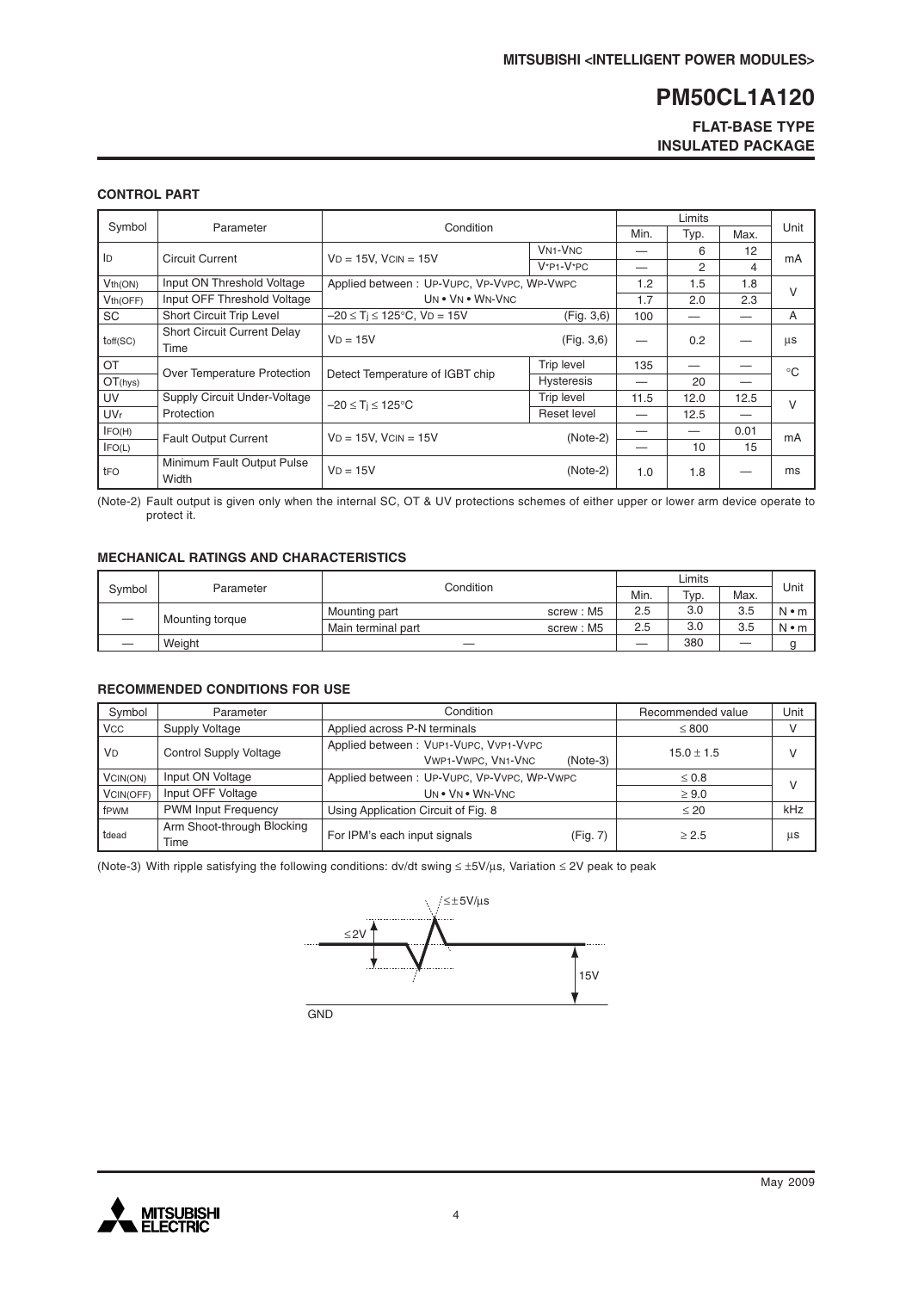### **FLAT-BASE TYPE INSULATED PACKAGE**

#### **CONTROL PART**

|                       |                                            |                                            |                                      | Limits |      |      |              |
|-----------------------|--------------------------------------------|--------------------------------------------|--------------------------------------|--------|------|------|--------------|
| Symbol                | Parameter                                  | Condition                                  |                                      |        | Typ. | Max. | Unit         |
| ID                    | <b>Circuit Current</b>                     | $VD = 15V$ , $VCIN = 15V$                  | <b>VN<sub>1</sub>-V<sub>NC</sub></b> |        | 6    | 12   |              |
|                       |                                            |                                            | $V^*P1-V^*PC$                        |        | 2    | 4    | mA           |
| Vth(ON)               | Input ON Threshold Voltage                 | Applied between: UP-VUPC, VP-VVPC, WP-VWPC |                                      | 1.2    | 1.5  | 1.8  | $\vee$       |
| Vth(OFF)              | Input OFF Threshold Voltage                | UN . VN . WN-VNC                           |                                      | 1.7    | 2.0  | 2.3  |              |
| SC                    | Short Circuit Trip Level                   | $-20 \le T_i \le 125^{\circ}$ C, VD = 15V  | (Fig. 3, 6)                          | 100    |      |      | A            |
| toff(SC)              | <b>Short Circuit Current Delay</b><br>Time | $VD = 15V$                                 | (Fig. 3, 6)                          |        | 0.2  |      | μs           |
| OT                    | Over Temperature Protection                | Detect Temperature of IGBT chip            | Trip level                           | 135    |      |      | $^{\circ}$ C |
| OT(hys)               |                                            |                                            | <b>Hysteresis</b>                    |        | 20   |      |              |
| UV                    | Supply Circuit Under-Voltage               | $-20 \leq T_i \leq 125^{\circ}C$           | <b>Trip level</b>                    | 11.5   | 12.0 | 12.5 | $\vee$       |
| <b>UV<sub>r</sub></b> | Protection                                 |                                            | Reset level                          |        | 12.5 |      |              |
| IFO(H)                | <b>Fault Output Current</b>                | $VD = 15V$ , $VCIN = 15V$                  | $(Note-2)$                           |        |      | 0.01 | mA           |
| IFO(L)                |                                            |                                            |                                      |        | 10   | 15   |              |
| tFO                   | Minimum Fault Output Pulse<br>Width        | $VD = 15V$                                 | $(Note-2)$                           | 1.0    | 1.8  |      | ms           |

(Note-2) Fault output is given only when the internal SC, OT & UV protections schemes of either upper or lower arm device operate to protect it.

#### **MECHANICAL RATINGS AND CHARACTERISTICS**

| Svmbol | Parameter       | Condition          | Min.      | Typ. | Max. | Unit    |             |
|--------|-----------------|--------------------|-----------|------|------|---------|-------------|
|        | Mounting torque | Mounting part      | screw: M5 | 2.5  | 3.0  | 3.5     | $N \cdot m$ |
|        |                 | Main terminal part | screw: M5 | 2.5  | 3.0  | 3.5     | $N \cdot m$ |
|        | Weight          |                    |           |      | 380  | —<br>__ |             |

#### **RECOMMENDED CONDITIONS FOR USE**

| Symbol     | Parameter                          | Condition                                                                        | Recommended value | Unit |
|------------|------------------------------------|----------------------------------------------------------------------------------|-------------------|------|
| <b>VCC</b> | Supply Voltage                     | Applied across P-N terminals                                                     | $\leq 800$        |      |
| <b>VD</b>  | <b>Control Supply Voltage</b>      | Applied between: VUP1-VUPC, VVP1-VVPC<br><b>VWP1-VWPC, VN1-VNC</b><br>$(Note-3)$ | $15.0 \pm 1.5$    |      |
| VCIN(ON)   | Input ON Voltage                   | Applied between: UP-VUPC, VP-VVPC, WP-VWPC                                       | $\leq 0.8$        |      |
| VCIN(OFF)  | Input OFF Voltage                  | UN . VN . WN-VNC                                                                 | $\geq 9.0$        |      |
| fPWM       | <b>PWM Input Frequency</b>         | Using Application Circuit of Fig. 8                                              | $\leq 20$         | kHz  |
| tdead      | Arm Shoot-through Blocking<br>Time | For IPM's each input signals<br>(Fig. 7)                                         | > 2.5             | μs   |

(Note-3) With ripple satisfying the following conditions: dv/dt swing ≤ ±5V/µs, Variation ≤ 2V peak to peak



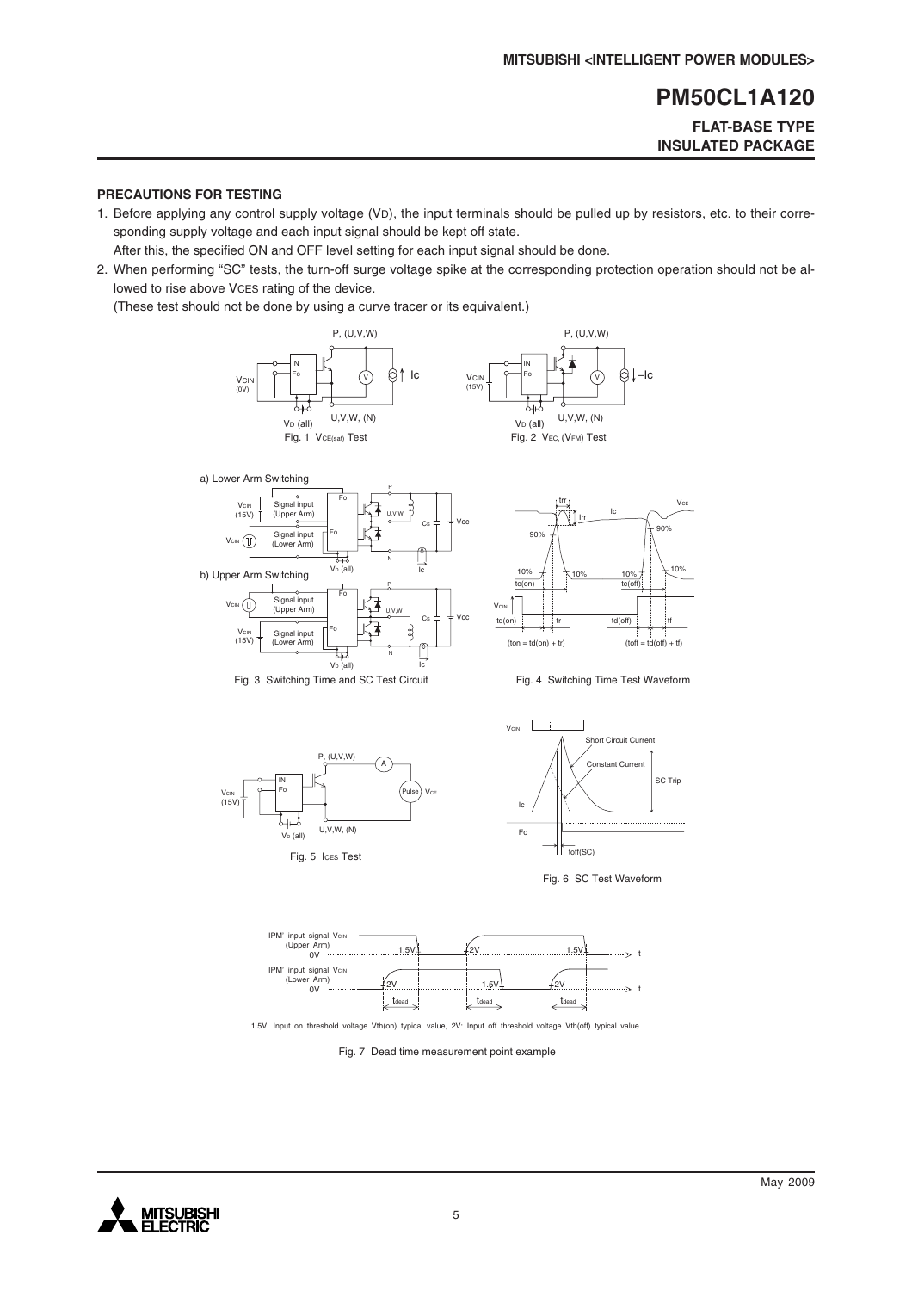### **FLAT-BASE TYPE INSULATED PACKAGE**

#### **PRECAUTIONS FOR TESTING**

1. Before applying any control supply voltage (VD), the input terminals should be pulled up by resistors, etc. to their corresponding supply voltage and each input signal should be kept off state.

After this, the specified ON and OFF level setting for each input signal should be done.

2. When performing "SC" tests, the turn-off surge voltage spike at the corresponding protection operation should not be allowed to rise above VCES rating of the device.

(These test should not be done by using a curve tracer or its equivalent.)











Fig. 6 SC Test Waveform



1.5V: Input on threshold voltage Vth(on) typical value, 2V: Input off threshold voltage Vth(off) typical value

Fig. 7 Dead time measurement point example

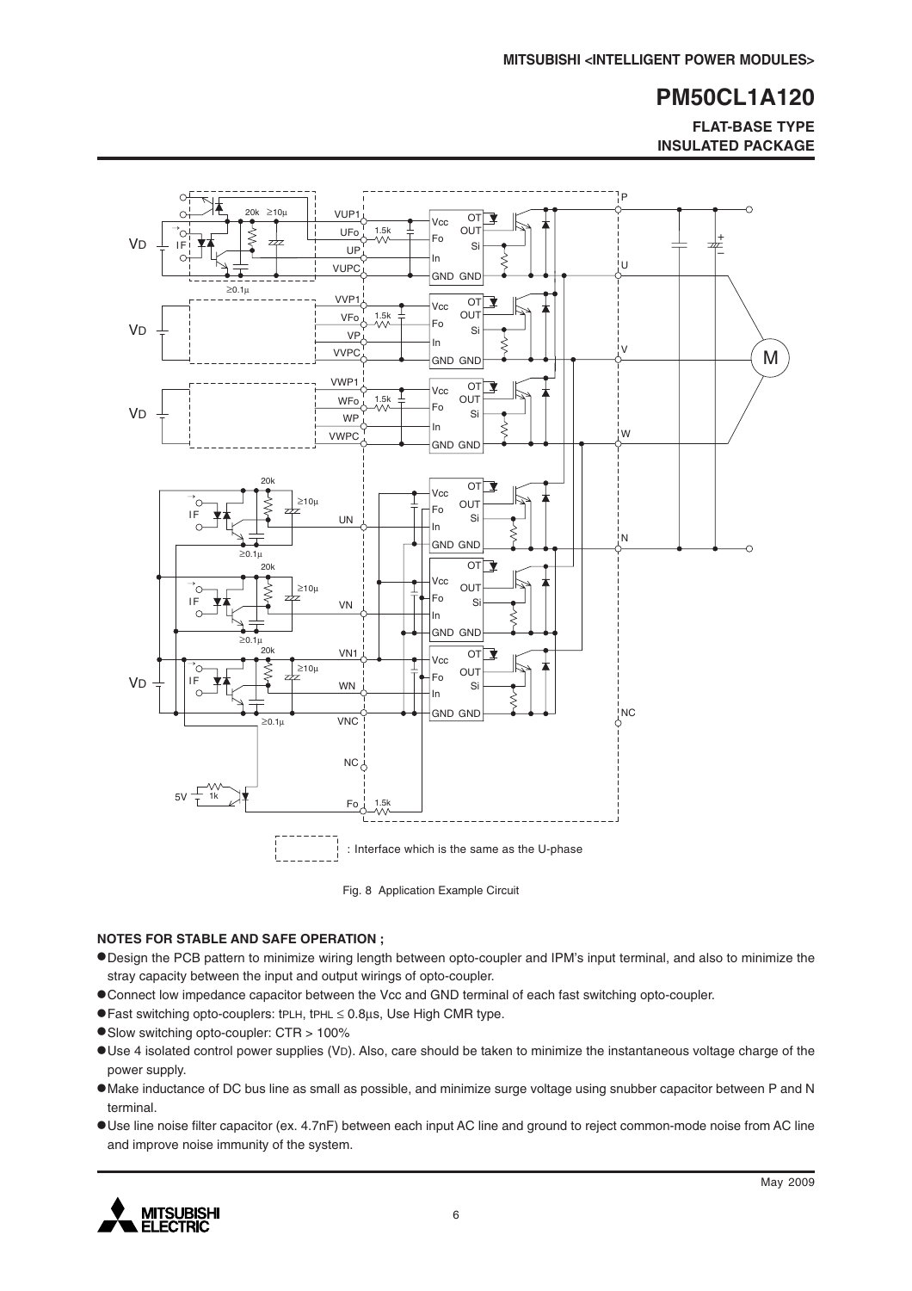**FLAT-BASE TYPE INSULATED PACKAGE**



Fig. 8 Application Example Circuit

#### **NOTES FOR STABLE AND SAFE OPERATION ;**

- •Design the PCB pattern to minimize wiring length between opto-coupler and IPM's input terminal, and also to minimize the stray capacity between the input and output wirings of opto-coupler.
- •Connect low impedance capacitor between the Vcc and GND terminal of each fast switching opto-coupler.
- •Fast switching opto-couplers: tPLH, tPHL <sup>≤</sup> 0.8µs, Use High CMR type.
- •Slow switching opto-coupler: CTR > 100%
- •Use 4 isolated control power supplies (VD). Also, care should be taken to minimize the instantaneous voltage charge of the power supply.
- •Make inductance of DC bus line as small as possible, and minimize surge voltage using snubber capacitor between P and N terminal.
- •Use line noise filter capacitor (ex. 4.7nF) between each input AC line and ground to reject common-mode noise from AC line and improve noise immunity of the system.

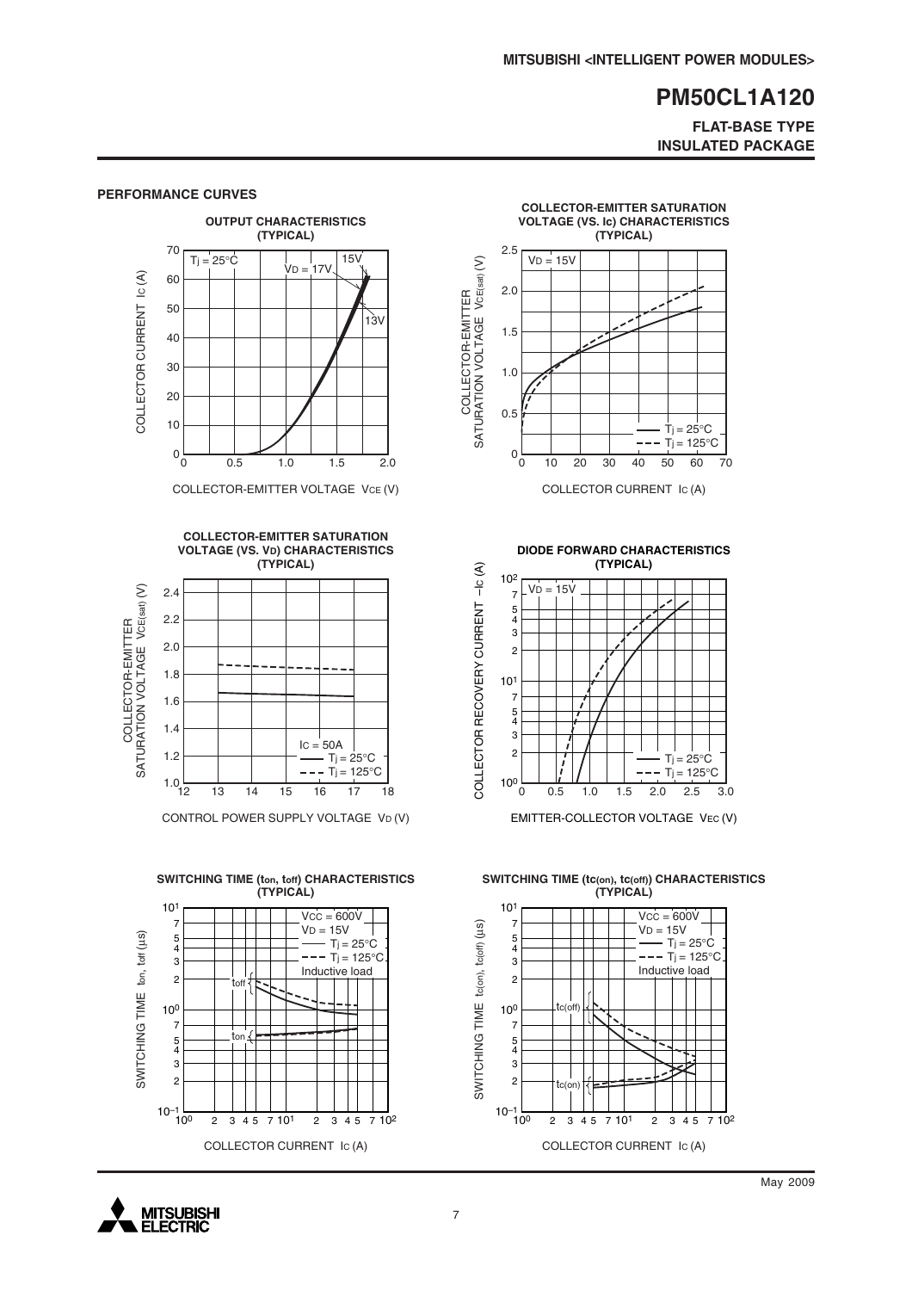#### **FLAT-BASE TYPE INSULATED PACKAGE**



COLLECTOR-EMITTER VOLTAGE VCE (V)



CONTROL POWER SUPPLY VOLTAGE VD (V)





COLLECTOR CURRENT IC (A)

**DIODE FORWARD CHARACTERISTICS**



EMITTER-COLLECTOR VOLTAGE VEC (V)

**SWITCHING TIME (tc(on), tc(off)) CHARACTERISTICS (TYPICAL)**



# **PERFORMANCE CURVES**

**MITSUBISHI ELECTRIC**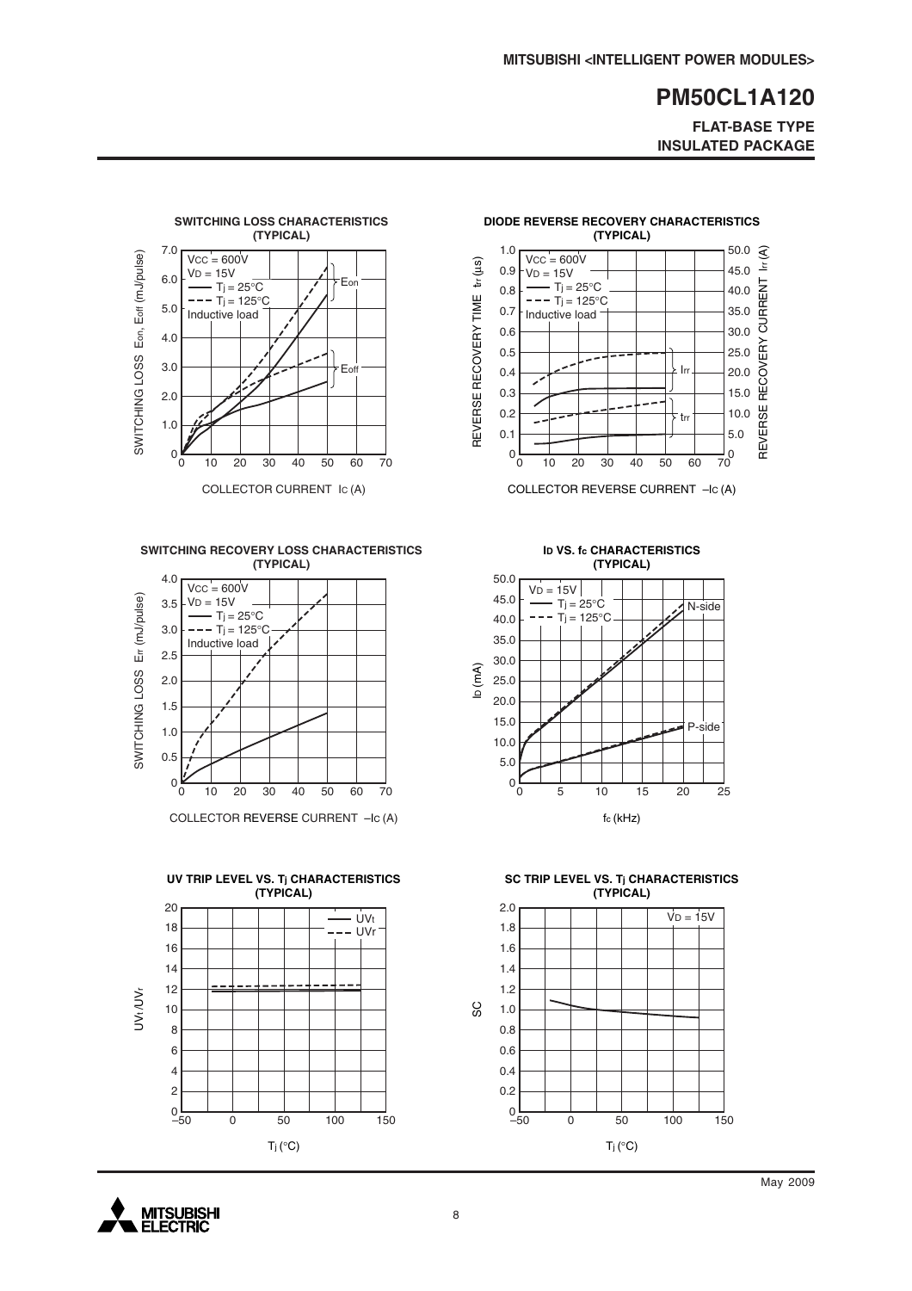**FLAT-BASE TYPE INSULATED PACKAGE**



**SWITCHING RECOVERY LOSS CHARACTERISTICS (TYPICAL)**



COLLECTOR REVERSE CURRENT –IC (A)





COLLECTOR REVERSE CURRENT –IC (A)

**ID VS. fc CHARACTERISTICS (TYPICAL)**



**SC TRIP LEVEL VS. Tj CHARACTERISTICS (TYPICAL)**